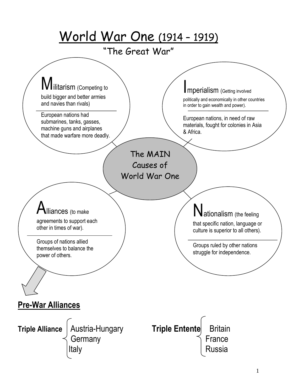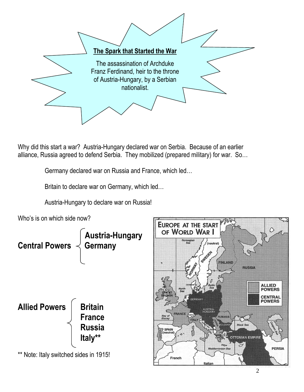

Why did this start a war? Austria-Hungary declared war on Serbia. Because of an earlier alliance, Russia agreed to defend Serbia. They mobilized (prepared military) for war. So…

Germany declared war on Russia and France, which led…

Britain to declare war on Germany, which led…

Austria-Hungary to declare war on Russia!

Who's is on which side now?



**PERSIA** 

209 Ary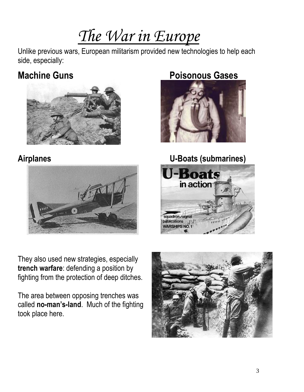# *The War in Europe*

Unlike previous wars, European militarism provided new technologies to help each side, especially:





They also used new strategies, especially **trench warfare**: defending a position by fighting from the protection of deep ditches.

The area between opposing trenches was called **no-man's-land**. Much of the fighting took place here.

## **Machine Guns Poisonous Gases**





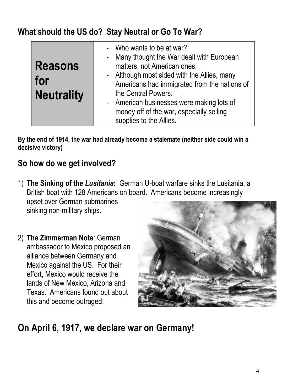### **What should the US do? Stay Neutral or Go To War?**

| <b>Reasons</b><br>for<br><b>Neutrality</b> | - Who wants to be at war?!<br>- Many thought the War dealt with European<br>matters, not American ones.<br>- Although most sided with the Allies, many<br>Americans had immigrated from the nations of<br>the Central Powers.<br>- American businesses were making lots of<br>money off of the war, especially selling<br>supplies to the Allies. |
|--------------------------------------------|---------------------------------------------------------------------------------------------------------------------------------------------------------------------------------------------------------------------------------------------------------------------------------------------------------------------------------------------------|
|--------------------------------------------|---------------------------------------------------------------------------------------------------------------------------------------------------------------------------------------------------------------------------------------------------------------------------------------------------------------------------------------------------|

**By the end of 1914, the war had already become a stalemate (neither side could win a decisive victory)**

### **So how do we get involved?**

- 1) **The Sinking of the** *Lusitania***:** German U-boat warfare sinks the Lusitania, a British boat with 128 Americans on board. Americans become increasingly upset over German submarines sinking non-military ships.
- 2) **The Zimmerman Note**: German ambassador to Mexico proposed an alliance between Germany and Mexico against the US. For their effort, Mexico would receive the lands of New Mexico, Arizona and Texas. Americans found out about this and become outraged.



## **On April 6, 1917, we declare war on Germany!**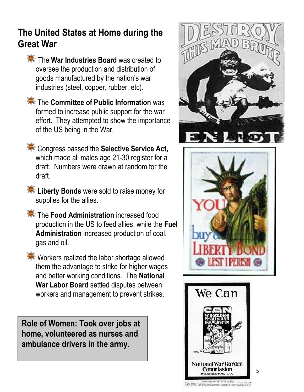## **The United States at Home during the Great War**

- **The War Industries Board** was created to oversee the production and distribution of goods manufactured by the nation's war industries (steel, copper, rubber, etc).
- **The Committee of Public Information** was formed to increase public support for the war effort. They attempted to show the importance of the US being in the War.
- **EXECONGLISHS** Congress passed the **Selective Service Act,** which made all males age 21-30 register for a draft. Numbers were drawn at random for the draft.
- **Liberty Bonds** were sold to raise money for supplies for the allies.
- **The Food Administration** increased food production in the US to feed allies, while the **Fuel Administration** increased production of coal, gas and oil.
- **Workers realized the labor shortage allowed** them the advantage to strike for higher wages and better working conditions. The **National War Labor Board** settled disputes between workers and management to prevent strikes.

**Role of Women: Took over jobs at home, volunteered as nurses and ambulance drivers in the army.** 







5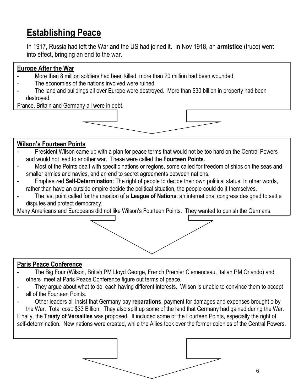## **Establishing Peace**

In 1917, Russia had left the War and the US had joined it. In Nov 1918, an **armistice** (truce) went into effect, bringing an end to the war.

#### **Europe After the War**

- More than 8 million soldiers had been killed, more than 20 million had been wounded.
- The economies of the nations involved were ruined.
- The land and buildings all over Europe were destroyed. More than \$30 billion in property had been destroyed.

France, Britain and Germany all were in debt.



#### **Wilson's Fourteen Points**

- President Wilson came up with a plan for peace terms that would not be too hard on the Central Powers and would not lead to another war. These were called the **Fourteen Points**.
- Most of the Points dealt with specific nations or regions, some called for freedom of ships on the seas and smaller armies and navies, and an end to secret agreements between nations.
- Emphasized **Self-Determination**: The right of people to decide their own political status. In other words, rather than have an outside empire decide the political situation, the people could do it themselves.
- The last point called for the creation of a **League of Nations**: an international congress designed to settle disputes and protect democracy.

Many Americans and Europeans did not like Wilson's Fourteen Points. They wanted to punish the Germans.

#### **Paris Peace Conference**

- The Big Four (Wilson, British PM Lloyd George, French Premier Clemenceau, Italian PM Orlando) and others meet at Paris Peace Conference figure out terms of peace.
- They argue about what to do, each having different interests. Wilson is unable to convince them to accept all of the Fourteen Points.
- Other leaders all insist that Germany pay **reparations**, payment for damages and expenses brought o by the War. Total cost: \$33 Billion. They also split up some of the land that Germany had gained during the War.

Finally, the **Treaty of Versailles** was proposed. It included some of the Fourteen Points, especially the right of self-determination. New nations were created, while the Allies took over the former colonies of the Central Powers.